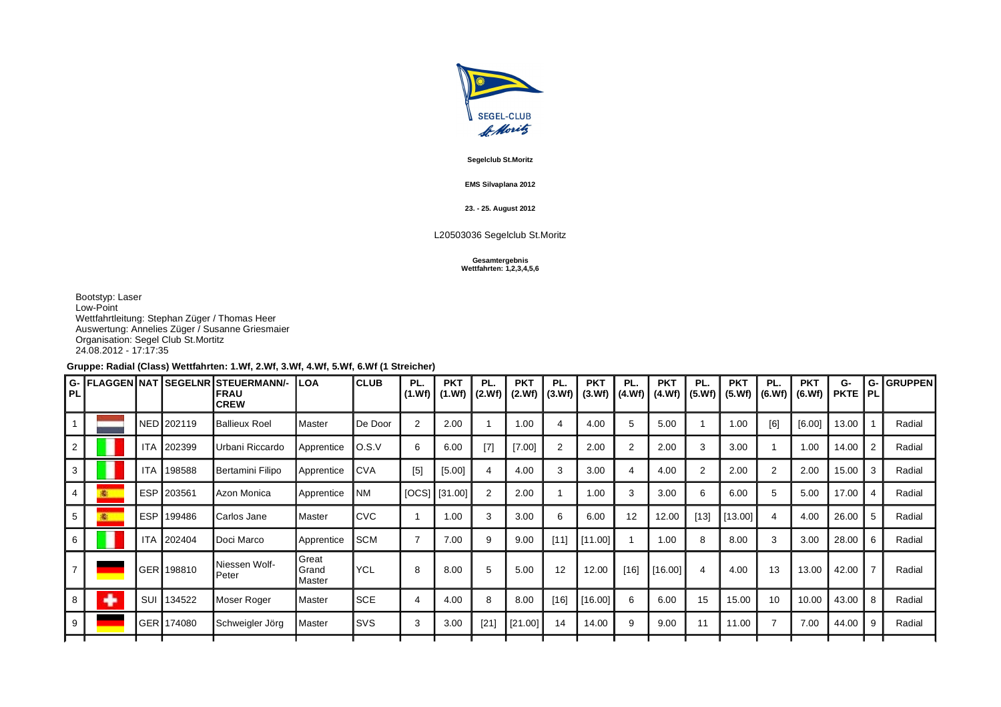

**Segelclub St.Moritz**

## **EMS Silvaplana 2012**

**23. - 25. August 2012**

## L20503036 Segelclub St.Moritz

## **Gesamtergebnis Wettfahrten: 1,2,3,4,5,6**

Bootstyp: Laser Low-Point Wettfahrtleitung: Stephan Züger / Thomas Heer Auswertung: Annelies Züger / Susanne Griesmaier Organisation: Segel Club St.Mortitz 24.08.2012 - 17:17:35

## **Gruppe: Radial (Class) Wettfahrten: 1.Wf, 2.Wf, 3.Wf, 4.Wf, 5.Wf, 6.Wf (1 Streicher)**

| $IG-$<br>I PL. |   |            |            | FLAGGEN NAT ISEGELNR STEUERMANN/-<br>IFRAU<br><b>ICREW</b> | <b>LOA</b>                       | <b>ICLUB</b>     | PL.<br>(1.Wf)  | <b>PKT</b><br>(1.Wf) | PL.    | <b>PKT</b><br>$ (2.Wf) $ $(2.Wf) $ | PL.            | <b>PKT</b><br> (3.Wf)  (3.Wf)  (4.Wf)  (4.Wf) | PL.  | <b>PKT</b> | PL.<br>(5. Wf) | <b>PKT</b><br>(5.Wf) | PL.            | <b>PKT</b><br>$ (6.Wf) $ $(6.Wf) $ | G-<br><b>PKTE PL</b> | G-             | GRUPPEN |
|----------------|---|------------|------------|------------------------------------------------------------|----------------------------------|------------------|----------------|----------------------|--------|------------------------------------|----------------|-----------------------------------------------|------|------------|----------------|----------------------|----------------|------------------------------------|----------------------|----------------|---------|
|                |   |            | NED 202119 | Ballieux Roel                                              | Master                           | <b>I</b> De Door | $\overline{2}$ | 2.00                 |        | 1.00                               |                | 4.00                                          | 5    | 5.00       |                | 1.00                 | [6]            | [6.00]                             | 13.00                |                | Radial  |
|                |   | <b>ITA</b> | 202399     | Urbani Riccardo                                            | Apprentice                       | IO.S.V           | 6              | 6.00                 | $[7]$  | [7.00]                             | $\overline{2}$ | 2.00                                          | 2    | 2.00       | 3              | 3.00                 |                | 1.00                               | 14.00                |                | Radial  |
| 3              |   | <b>ITA</b> | 198588     | Bertamini Filipo                                           | Apprentice                       | <b>CVA</b>       | [5]            | [5.00]               | 4      | 4.00                               | 3              | 3.00                                          | 4    | 4.00       | 2              | 2.00                 | $\overline{2}$ | 2.00                               | 15.00                | -3             | Radial  |
|                |   | <b>ESP</b> | 203561     | Azon Monica                                                | Apprentice                       | <b>NM</b>        |                | $ [OCS]$ $[31.00]$   | 2      | 2.00                               |                | 1.00                                          | 3    | 3.00       | 6              | 6.00                 | 5              | 5.00                               | 17.00                |                | Radial  |
| 5              |   | <b>ESP</b> | 199486     | <b>I</b> Carlos Jane                                       | ∎Master                          | ICVC.            |                | 1.00                 | 3      | 3.00                               | 6              | 6.00                                          | 12   | 12.00      | [13]           | [13.00]              |                | 4.00                               | 26.00                |                | Radial  |
| 6              | I | <b>ITA</b> | 202404     | <b>I</b> Doci Marco                                        | Apprentice                       | <b>SCM</b>       | ⇁              | 7.00                 | 9      | 9.00                               | [11]           | [11.00]                                       |      | 1.00       |                | 8.00                 | 3              | 3.00                               | 28.00                | 6              | Radial  |
|                |   |            | GER 198810 | Niessen Wolf-<br><b>I</b> Peter                            | <b>S</b> reat<br>Grand<br>Master | <b>YCL</b>       | 8              | 8.00                 | 5      | 5.00                               | 12             | 12.00                                         | [16] | [16.00]    | 4              | 4.00                 | 13             | 13.00                              | 42.00                | $\overline{7}$ | Radial  |
| 8              | ۰ | SUI        | 134522     | Moser Roger                                                | Master                           | ISCE             | 4              | 4.00                 | 8      | 8.00                               | $[16]$         | [16.00]                                       | 6    | 6.00       | 15             | 15.00                | 10             | 10.00                              | 43.00                | -8             | Radial  |
| 9              |   |            | GER 174080 | Schweigler Jörg                                            | Master                           | Isvs             | 3              | 3.00                 | $[21]$ | [21.00]                            | 14             | 14.00                                         | 9    | 9.00       | 11             | 11.00                |                | 7.00                               | 44.00                | <b>q</b>       | Radial  |
|                |   |            |            |                                                            |                                  |                  |                |                      |        |                                    |                |                                               |      |            |                |                      |                |                                    |                      |                |         |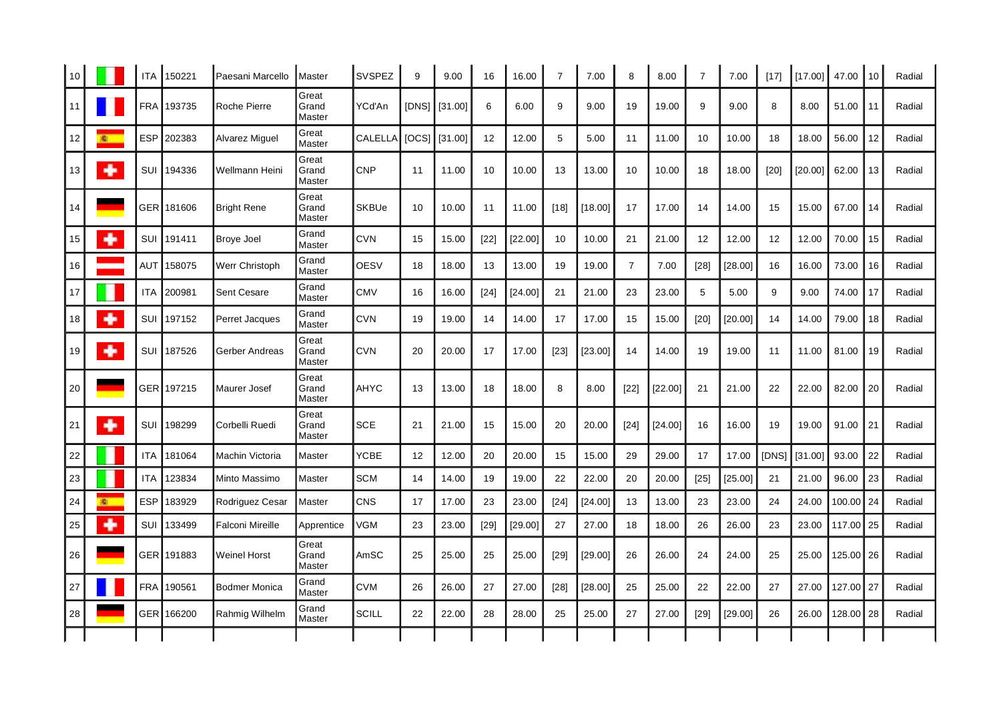|    |    | <b>ITA</b> | 150221     | Paesani Marcello        | Master                   | <b>SVSPEZ</b>  | 9  | 9.00              | 16     | 16.00   | $\overline{7}$ | 7.00    | 8              | 8.00    | $\overline{7}$ | 7.00    | $[17]$          | [17.00] | 47.00     | 10   | Radial |
|----|----|------------|------------|-------------------------|--------------------------|----------------|----|-------------------|--------|---------|----------------|---------|----------------|---------|----------------|---------|-----------------|---------|-----------|------|--------|
| 11 |    | <b>FRA</b> | 193735     | Roche Pierre            | Great<br>Grand<br>Master | YCďAn          |    | [DNS]   [31.00]   | 6      | 6.00    | 9              | 9.00    | 19             | 19.00   | 9              | 9.00    | 8               | 8.00    | 51.00     | 11   | Radial |
| 12 | 图: | <b>ESP</b> | 202383     | Alvarez Miguel          | Great<br>Master          | <b>CALELLA</b> |    | $[OCS]$ $[31.00]$ | 12     | 12.00   | 5              | 5.00    | 11             | 11.00   | 10             | 10.00   | 18              | 18.00   | 56.00     | 12   | Radial |
| 13 | ۰  | SUI        | 194336     | l Wellmann Heini        | Great<br>Grand<br>Master | <b>CNP</b>     | 11 | 11.00             | 10     | 10.00   | 13             | 13.00   | 10             | 10.00   | 18             | 18.00   | $[20]$          | [20.00] | 62.00     | 13   | Radial |
| 14 |    |            | GER 181606 | Bright Rene             | Great<br>Grand<br>Master | SKBUe          | 10 | 10.00             | 11     | 11.00   | [18]           | [18.00] | 17             | 17.00   | 14             | 14.00   | 15              | 15.00   | 67.00     | 14   | Radial |
| 15 | ۰  | SUI        | 191411     | <b>Broye Joel</b>       | Grand<br>Master          | <b>CVN</b>     | 15 | 15.00             | $[22]$ | [22.00] | 10             | 10.00   | 21             | 21.00   | 12             | 12.00   | 12 <sup>2</sup> | 12.00   | 70.00     | 15   | Radial |
| 16 |    | <b>AUT</b> | 158075     | <b>Werr Christoph</b>   | Grand<br>Master          | <b>OESV</b>    | 18 | 18.00             | 13     | 13.00   | 19             | 19.00   | $\overline{7}$ | 7.00    | $[28]$         | [28.00] | 16              | 16.00   | 73.00     | 16   | Radial |
| 17 | r  | <b>ITA</b> | 200981     | <b>Sent Cesare</b>      | Grand<br>Master          | <b>CMV</b>     | 16 | 16.00             | [24]   | [24.00] | 21             | 21.00   | 23             | 23.00   | 5              | 5.00    | 9               | 9.00    | 74.00     | 17   | Radial |
| 18 | ٠  | SUI        | 197152     | Perret Jacques          | Grand<br>Master          | <b>CVN</b>     | 19 | 19.00             | 14     | 14.00   | 17             | 17.00   | 15             | 15.00   | $[20]$         | [20.00] | 14              | 14.00   | 79.00     | 18   | Radial |
| 19 | ۰  | SUI        | 187526     | Gerber Andreas          | Great<br>Grand<br>Master | <b>CVN</b>     | 20 | 20.00             | 17     | 17.00   | $[23]$         | [23.00] | 14             | 14.00   | 19             | 19.00   | 11              | 11.00   | 81.00     | 19   | Radial |
| 20 |    |            | GER 197215 | Maurer Josef            | Great<br>Grand<br>Master | <b>AHYC</b>    | 13 | 13.00             | 18     | 18.00   | 8              | 8.00    | $[22]$         | [22.00] | 21             | 21.00   | 22              | 22.00   | 82.00     | 20   | Radial |
| 21 | ۰  | SUI        | 198299     | Corbelli Ruedi          | Great<br>Grand<br>Master | <b>SCE</b>     | 21 | 21.00             | 15     | 15.00   | 20             | 20.00   | $[24]$         | [24.00] | 16             | 16.00   | 19              | 19.00   | 91.00     | 21   | Radial |
| 22 |    | <b>ITA</b> | 181064     | Machin Victoria         | Master                   | <b>YCBE</b>    | 12 | 12.00             | 20     | 20.00   | 15             | 15.00   | 29             | 29.00   | 17             | 17.00   | [DNS]           | [31.00] | 93.00     | 22   | Radial |
| 23 |    | <b>ITA</b> | 123834     | Minto Massimo           | Master                   | SCM            | 14 | 14.00             | 19     | 19.00   | 22             | 22.00   | 20             | 20.00   | $[25]$         | [25.00] | 21              | 21.00   | 96.00     | 23   | Radial |
| 24 | 楽. | <b>ESP</b> | 183929     | Rodriguez Cesar         | Master                   | <b>CNS</b>     | 17 | 17.00             | 23     | 23.00   | $[24]$         | [24.00] | 13             | 13.00   | 23             | 23.00   | 24              | 24.00   | 100.00    | l 24 | Radial |
| 25 | ۰  | SUI        | 133499     | <b>Falconi Mireille</b> | Apprentice               | VGM            | 23 | 23.00             | $[29]$ | [29.00] | 27             | 27.00   | 18             | 18.00   | 26             | 26.00   | 23              | 23.00   | 117.00    | l 25 | Radial |
| 26 |    |            | GER 191883 | <b>Weinel Horst</b>     | Great<br>Grand<br>Master | AmSC           | 25 | 25.00             | 25     | 25.00   | [29]           | [29.00] | 26             | 26.00   | 24             | 24.00   | 25              | 25.00   | 125.00 26 |      | Radial |
| 27 |    | <b>FRA</b> | 190561     | Bodmer Monica           | Grand<br>Master          | <b>CVM</b>     | 26 | 26.00             | 27     | 27.00   | $[28]$         | [28.00] | 25             | 25.00   | 22             | 22.00   | 27              | 27.00   | 127.00 27 |      | Radial |
| 28 |    |            | GER 166200 | Rahmig Wilhelm          | Grand<br>Master          | <b>SCILL</b>   | 22 | 22.00             | 28     | 28.00   | 25             | 25.00   | 27             | 27.00   | $[29]$         | [29.00] | 26              | 26.00   | 128.00 28 |      | Radial |
|    |    |            |            |                         |                          |                |    |                   |        |         |                |         |                |         |                |         |                 |         |           |      |        |